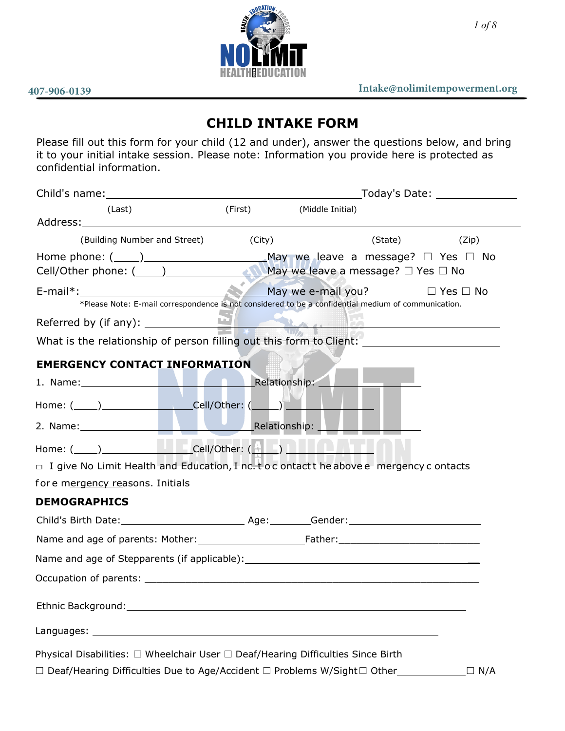

# **CHILD INTAKE FORM**

Please fill out this form for your child (12 and under), answer the questions below, and bring it to your initial intake session. Please note: Information you provide here is protected as confidential information.

|                                                                                                      | _Today's Date: ________________                                                                     |            |  |
|------------------------------------------------------------------------------------------------------|-----------------------------------------------------------------------------------------------------|------------|--|
| (Last)                                                                                               | (First) (Middle Initial)                                                                            |            |  |
|                                                                                                      |                                                                                                     |            |  |
| (Building Number and Street) (City)                                                                  | (State) <b>State</b>                                                                                | (Zip)      |  |
|                                                                                                      |                                                                                                     |            |  |
| E-mail*: <u>Nay we e-mail you?</u> D Yes □ No                                                        | *Please Note: E-mail correspondence is not considered to be a confidential medium of communication. |            |  |
|                                                                                                      |                                                                                                     |            |  |
| What is the relationship of person filling out this form to Client: ________________________________ |                                                                                                     |            |  |
| <b>EMERGENCY CONTACT INFORMATION</b>                                                                 |                                                                                                     |            |  |
|                                                                                                      |                                                                                                     |            |  |
| 1. Name: Manuel Manuel Prelationship: Manuel Prelationship: Manuel Prelationship:                    |                                                                                                     |            |  |
| Home: (____)____________________Cell/Other: (_____)______________________________                    |                                                                                                     |            |  |
| 2. Name: Manuel Manuel Manuel Relationship: Name: 1999                                               |                                                                                                     |            |  |
| Home: $(\_\_\_\_)$                                                                                   |                                                                                                     |            |  |
| $\Box$ I give No Limit Health and Education, I nc. t o c ontact t he above e mergency c ontacts      |                                                                                                     |            |  |
| for e mergency reasons. Initials                                                                     |                                                                                                     |            |  |
| <b>DEMOGRAPHICS</b>                                                                                  |                                                                                                     |            |  |
|                                                                                                      |                                                                                                     |            |  |
|                                                                                                      |                                                                                                     |            |  |
|                                                                                                      |                                                                                                     |            |  |
|                                                                                                      |                                                                                                     |            |  |
|                                                                                                      |                                                                                                     |            |  |
|                                                                                                      |                                                                                                     |            |  |
|                                                                                                      |                                                                                                     |            |  |
| Physical Disabilities: $\Box$ Wheelchair User $\Box$ Deaf/Hearing Difficulties Since Birth           |                                                                                                     |            |  |
| $\square$ Deaf/Hearing Difficulties Due to Age/Accident $\square$ Problems W/Sight $\square$ Other   |                                                                                                     | $\Box$ N/A |  |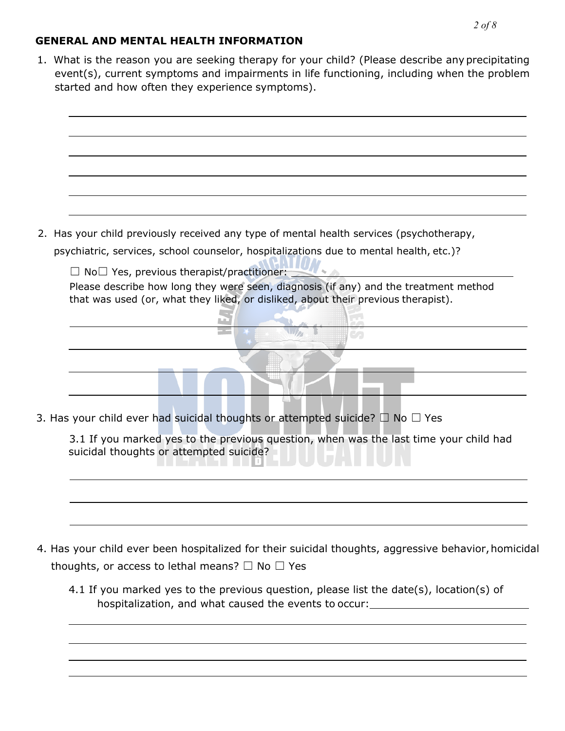## **GENERAL AND MENTAL HEALTH INFORMATION**

1. What is the reason you are seeking therapy for your child? (Please describe any precipitating event(s), current symptoms and impairments in life functioning, including when the problem started and how often they experience symptoms).



psychiatric, services, school counselor, hospitalizations due to mental health, etc.)?

☐ No☐ Yes, previous therapist/practitioner:

Please describe how long they were seen, diagnosis (if any) and the treatment method that was used (or, what they liked, or disliked, about their previous therapist).

 $\sqcup$   $\triangleright$ 

 $\mathbf{U}$  and  $\mathbf{V}$ 

 $\mathbb{Z}$ 

3. Has your child ever had suicidal thoughts or attempted suicide?  $\Box$  No  $\Box$  Yes

| 3.1 If you marked yes to the previous question, when was the last time your child had |  |
|---------------------------------------------------------------------------------------|--|
| suicidal thoughts or attempted suicide?                                               |  |
| iisaan ilu heyyaa ayaa                                                                |  |
|                                                                                       |  |

- 4. Has your child ever been hospitalized for their suicidal thoughts, aggressive behavior, homicidal thoughts, or access to lethal means?  $\Box$  No  $\Box$  Yes
	- 4.1 If you marked yes to the previous question, please list the date(s), location(s) of hospitalization, and what caused the events to occur: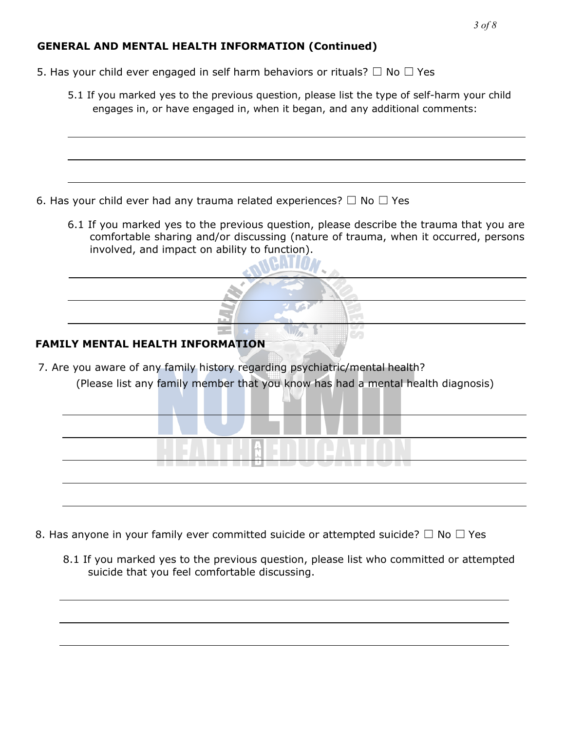# **GENERAL AND MENTAL HEALTH INFORMATION (Continued)**

- 5. Has your child ever engaged in self harm behaviors or rituals?  $\Box$  No  $\Box$  Yes
	- 5.1 If you marked yes to the previous question, please list the type of self-harm your child engages in, or have engaged in, when it began, and any additional comments:

- 6. Has your child ever had any trauma related experiences?  $\Box$  No  $\Box$  Yes
	- 6.1 If you marked yes to the previous question, please describe the trauma that you are comfortable sharing and/or discussing (nature of trauma, when it occurred, persons involved, and impact on ability to function).

#### **FAMILY MENTAL HEALTH INFORMATION**

7. Are you aware of any family history regarding psychiatric/mental health? (Please list any family member that you know has had a mental health diagnosis)

| ------------------------------ |
|--------------------------------|
|                                |

- 8. Has anyone in your family ever committed suicide or attempted suicide?  $\Box$  No  $\Box$  Yes
	- 8.1 If you marked yes to the previous question, please list who committed or attempted suicide that you feel comfortable discussing.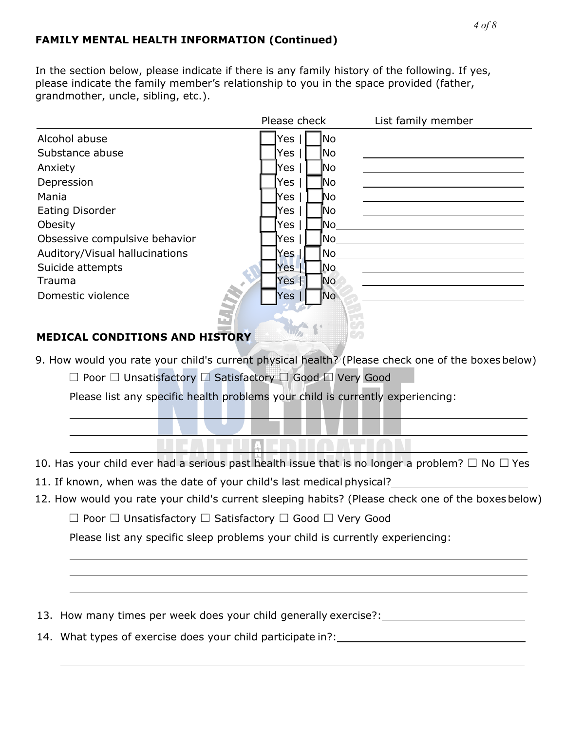# **FAMILY MENTAL HEALTH INFORMATION (Continued)**

In the section below, please indicate if there is any family history of the following. If yes, please indicate the family member's relationship to you in the space provided (father, grandmother, uncle, sibling, etc.).

|                                | Please check     | List family member |
|--------------------------------|------------------|--------------------|
| Alcohol abuse                  | No.<br>Yes       |                    |
| Substance abuse                | No.<br>Yes       |                    |
| Anxiety                        | Yes<br><b>No</b> |                    |
| Depression                     | Yes<br> No       |                    |
| Mania                          | No<br>Yes        |                    |
| <b>Eating Disorder</b>         | lNo<br>Yes       |                    |
| Obesity                        | Yes<br> No       |                    |
| Obsessive compulsive behavior  | No<br>Yes        |                    |
| Auditory/Visual hallucinations | No<br>Yes l      |                    |
| Suicide attempts               | lNo.<br>Yes.     |                    |
| Trauma                         | No<br>Yes        |                    |
| Domestic violence              | No<br>Yes        |                    |

# **MEDICAL CONDITIONS AND HISTORY**

9. How would you rate your child's current physical health? (Please check one of the boxes below)

☐ Poor ☐ Unsatisfactory ☐ Satisfactory ☐ Good ☐ Very Good

Please list any specific health problems your child is currently experiencing:

10. Has your child ever had a serious past health issue that is no longer a problem?  $\Box$  No  $\Box$  Yes

TEATH AFRICATION

11. If known, when was the date of your child's last medical physical?

12. How would you rate your child's current sleeping habits? (Please check one of the boxes below)

☐ Poor ☐ Unsatisfactory ☐ Satisfactory ☐ Good ☐ Very Good

Please list any specific sleep problems your child is currently experiencing:

13. How many times per week does your child generally exercise?:

14. What types of exercise does your child participate in?: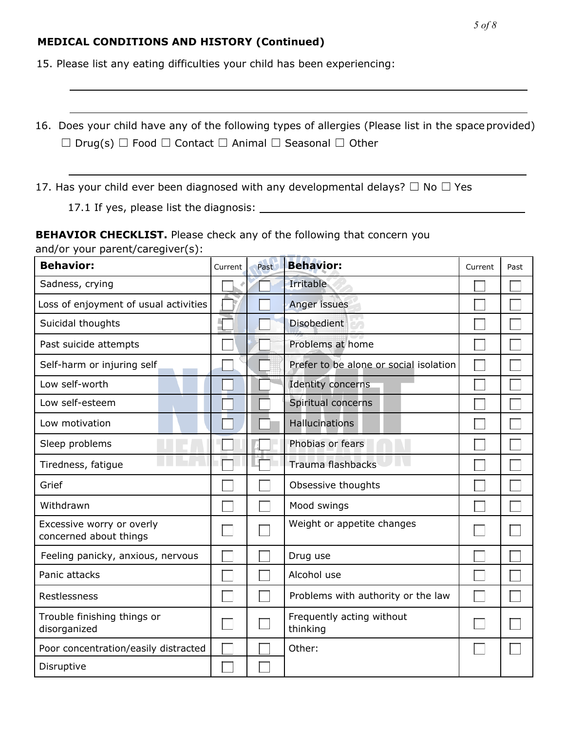#### **MEDICAL CONDITIONS AND HISTORY (Continued)**

15. Please list any eating difficulties your child has been experiencing:

16. Does your child have any of the following types of allergies (Please list in the space provided) ☐ Drug(s) ☐ Food ☐ Contact ☐ Animal ☐ Seasonal ☐ Other

17. Has your child ever been diagnosed with any developmental delays?  $\Box$  No  $\Box$  Yes

17.1 If yes, please list the diagnosis:

**BEHAVIOR CHECKLIST.** Please check any of the following that concern you and/or your parent/caregiver(s):

| <b>Behavior:</b>                                    | Current | Past | <b>Behavior:</b>                       | Current | Past |
|-----------------------------------------------------|---------|------|----------------------------------------|---------|------|
| Sadness, crying                                     |         |      | Irritable                              |         |      |
| Loss of enjoyment of usual activities               |         |      | Anger issues                           |         |      |
| Suicidal thoughts                                   |         |      | <b>Disobedient</b>                     |         |      |
| Past suicide attempts                               |         |      | Problems at home                       |         |      |
| Self-harm or injuring self                          |         |      | Prefer to be alone or social isolation |         |      |
| Low self-worth                                      |         |      | Identity concerns                      |         |      |
| Low self-esteem                                     |         |      | Spiritual concerns                     |         |      |
| Low motivation                                      |         |      | <b>Hallucinations</b>                  |         |      |
| Sleep problems                                      |         |      | Phobias or fears                       |         |      |
| Tiredness, fatigue                                  |         |      | Trauma flashbacks                      |         |      |
| Grief                                               |         |      | Obsessive thoughts                     |         |      |
| Withdrawn                                           |         |      | Mood swings                            |         |      |
| Excessive worry or overly<br>concerned about things |         |      | Weight or appetite changes             |         |      |
| Feeling panicky, anxious, nervous                   |         |      | Drug use                               |         |      |
| Panic attacks                                       |         |      | Alcohol use                            |         |      |
| Restlessness                                        |         |      | Problems with authority or the law     |         |      |
| Trouble finishing things or<br>disorganized         |         |      | Frequently acting without<br>thinking  |         |      |
| Poor concentration/easily distracted                |         |      | Other:                                 |         |      |
| Disruptive                                          |         |      |                                        |         |      |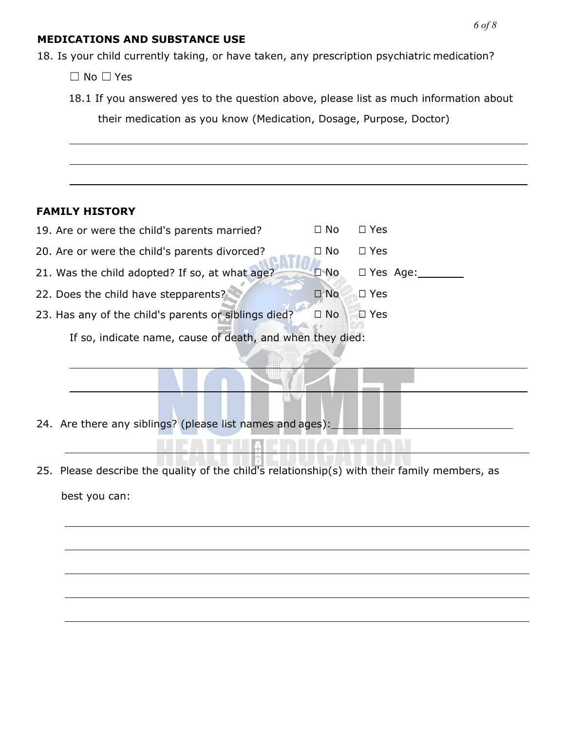#### **MEDICATIONS AND SUBSTANCE USE**

18. Is your child currently taking, or have taken, any prescription psychiatric medication?

☐ No ☐ Yes

18.1 If you answered yes to the question above, please list as much information about

their medication as you know (Medication, Dosage, Purpose, Doctor)

# **FAMILY HISTORY**

| 19. Are or were the child's parents married?              | $\Box$ No  | $\Box$ Yes      |
|-----------------------------------------------------------|------------|-----------------|
| 20. Are or were the child's parents divorced?             | □ No       | $\Box$ Yes      |
| 21. Was the child adopted? If so, at what age?            | $\Box$ No  | $\Box$ Yes Age: |
| 22. Does the child have stepparents?                      | $\Box$ No. | $\Box$ Yes      |
| 23. Has any of the child's parents or siblings died?      | $\Box$ No  | $\square$ Yes   |
| If so, indicate name, cause of death, and when they died: |            |                 |

- 24. Are there any siblings? (please list names and ages):
- 25. Please describe the quality of the child's relationship(s) with their family members, as best you can:

**LIIA**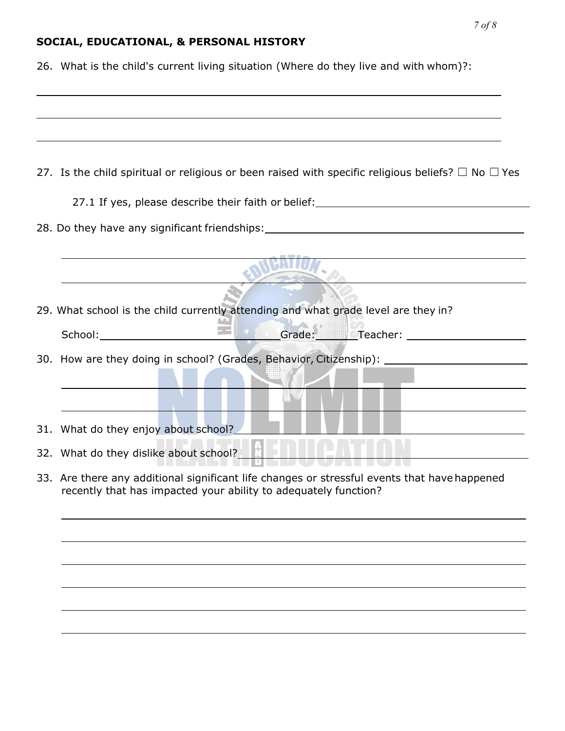# **SOCIAL, EDUCATIONAL, & PERSONAL HISTORY**

26. What is the child's current living situation (Where do they live and with whom)?:

| 27. Is the child spiritual or religious or been raised with specific religious beliefs? $\Box$ No $\Box$ Yes                                                                                                                   |
|--------------------------------------------------------------------------------------------------------------------------------------------------------------------------------------------------------------------------------|
| 27.1 If yes, please describe their faith or belief: ____________________________                                                                                                                                               |
| 28. Do they have any significant friendships: 28. Do they have any significant friendships:                                                                                                                                    |
|                                                                                                                                                                                                                                |
| 29. What school is the child currently attending and what grade level are they in?                                                                                                                                             |
| External Crade: Creacher:                                                                                                                                                                                                      |
| 30. How are they doing in school? (Grades, Behavior, Citizenship):                                                                                                                                                             |
|                                                                                                                                                                                                                                |
| 31. What do they enjoy about school?                                                                                                                                                                                           |
| 32. What do they dislike about school? The control of the state of the state of the state of the state of the state of the state of the state of the state of the state of the state of the state of the state of the state of |
| 33. Are there any additional significant life changes or stressful events that have happened<br>recently that has impacted your ability to adequately function?                                                                |
|                                                                                                                                                                                                                                |
|                                                                                                                                                                                                                                |
|                                                                                                                                                                                                                                |
|                                                                                                                                                                                                                                |
|                                                                                                                                                                                                                                |
|                                                                                                                                                                                                                                |